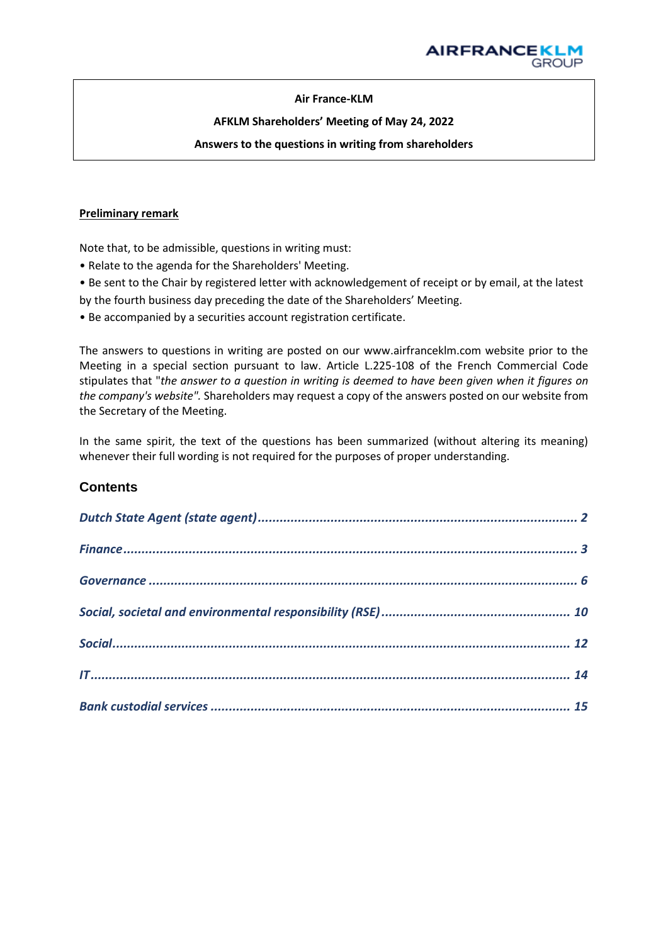## **Air France-KLM**

## **AFKLM Shareholders' Meeting of May 24, 2022**

#### **Answers to the questions in writing from shareholders**

#### **Preliminary remark**

Note that, to be admissible, questions in writing must:

- Relate to the agenda for the Shareholders' Meeting.
- Be sent to the Chair by registered letter with acknowledgement of receipt or by email, at the latest
- by the fourth business day preceding the date of the Shareholders' Meeting.
- Be accompanied by a securities account registration certificate.

The answers to questions in writing are posted on our www.airfranceklm.com website prior to the Meeting in a special section pursuant to law. Article L.225-108 of the French Commercial Code stipulates that "*the answer to a question in writing is deemed to have been given when it figures on the company's website".* Shareholders may request a copy of the answers posted on our website from the Secretary of the Meeting.

In the same spirit, the text of the questions has been summarized (without altering its meaning) whenever their full wording is not required for the purposes of proper understanding.

# **Contents**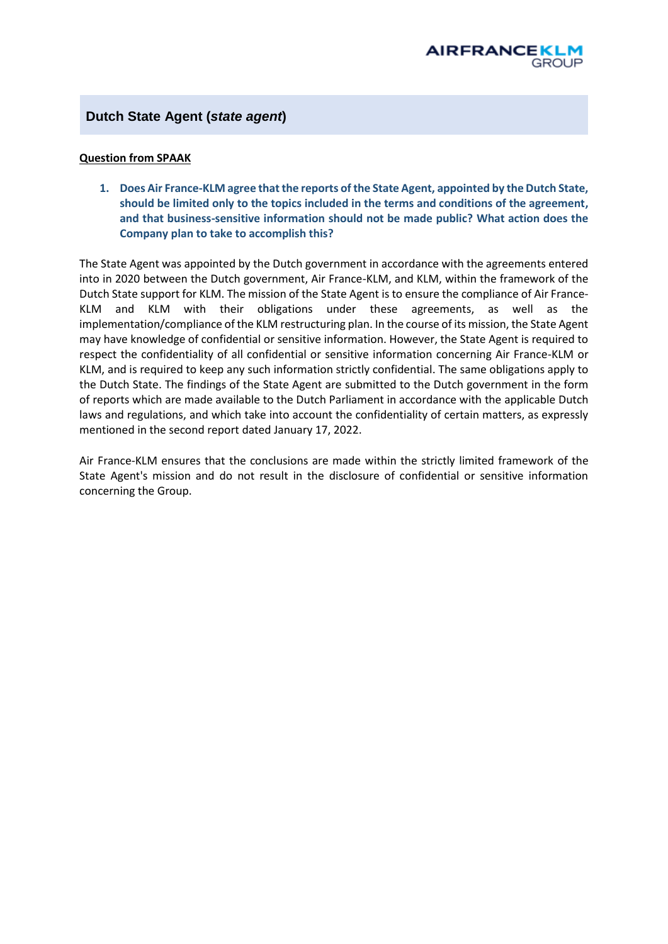# <span id="page-1-0"></span>**Dutch State Agent (***state agent***)**

#### **Question from SPAAK**

**1. Does Air France-KLM agree that the reports ofthe State Agent, appointed by the Dutch State, should be limited only to the topics included in the terms and conditions of the agreement, and that business-sensitive information should not be made public? What action does the Company plan to take to accomplish this?**

The State Agent was appointed by the Dutch government in accordance with the agreements entered into in 2020 between the Dutch government, Air France-KLM, and KLM, within the framework of the Dutch State support for KLM. The mission of the State Agent is to ensure the compliance of Air France-KLM and KLM with their obligations under these agreements, as well as the implementation/compliance of the KLM restructuring plan. In the course of its mission, the State Agent may have knowledge of confidential or sensitive information. However, the State Agent is required to respect the confidentiality of all confidential or sensitive information concerning Air France-KLM or KLM, and is required to keep any such information strictly confidential. The same obligations apply to the Dutch State. The findings of the State Agent are submitted to the Dutch government in the form of reports which are made available to the Dutch Parliament in accordance with the applicable Dutch laws and regulations, and which take into account the confidentiality of certain matters, as expressly mentioned in the second report dated January 17, 2022.

Air France-KLM ensures that the conclusions are made within the strictly limited framework of the State Agent's mission and do not result in the disclosure of confidential or sensitive information concerning the Group.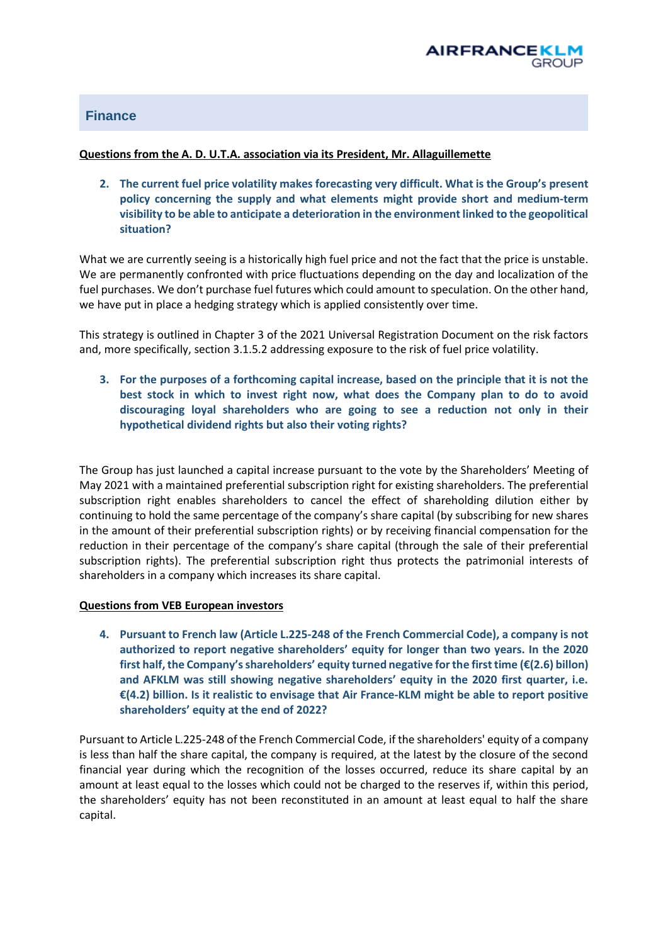

# <span id="page-2-0"></span>**Finance**

#### **Questions from the A. D. U.T.A. association via its President, Mr. Allaguillemette**

**2. The current fuel price volatility makes forecasting very difficult. What is the Group's present policy concerning the supply and what elements might provide short and medium-term visibility to be able to anticipate a deterioration in the environment linked to the geopolitical situation?**

What we are currently seeing is a historically high fuel price and not the fact that the price is unstable. We are permanently confronted with price fluctuations depending on the day and localization of the fuel purchases. We don't purchase fuel futures which could amount to speculation. On the other hand, we have put in place a hedging strategy which is applied consistently over time.

This strategy is outlined in Chapter 3 of the 2021 Universal Registration Document on the risk factors and, more specifically, section 3.1.5.2 addressing exposure to the risk of fuel price volatility.

**3. For the purposes of a forthcoming capital increase, based on the principle that it is not the best stock in which to invest right now, what does the Company plan to do to avoid discouraging loyal shareholders who are going to see a reduction not only in their hypothetical dividend rights but also their voting rights?**

The Group has just launched a capital increase pursuant to the vote by the Shareholders' Meeting of May 2021 with a maintained preferential subscription right for existing shareholders. The preferential subscription right enables shareholders to cancel the effect of shareholding dilution either by continuing to hold the same percentage of the company's share capital (by subscribing for new shares in the amount of their preferential subscription rights) or by receiving financial compensation for the reduction in their percentage of the company's share capital (through the sale of their preferential subscription rights). The preferential subscription right thus protects the patrimonial interests of shareholders in a company which increases its share capital.

#### **Questions from VEB European investors**

**4. Pursuant to French law (Article L.225-248 of the French Commercial Code), a company is not authorized to report negative shareholders' equity for longer than two years. In the 2020 first half, the Company's shareholders' equity turned negative for the first time (€(2.6) billon) and AFKLM was still showing negative shareholders' equity in the 2020 first quarter, i.e. €(4.2) billion. Is it realistic to envisage that Air France-KLM might be able to report positive shareholders' equity at the end of 2022?** 

Pursuant to Article L.225-248 of the French Commercial Code, if the shareholders' equity of a company is less than half the share capital, the company is required, at the latest by the closure of the second financial year during which the recognition of the losses occurred, reduce its share capital by an amount at least equal to the losses which could not be charged to the reserves if, within this period, the shareholders' equity has not been reconstituted in an amount at least equal to half the share capital.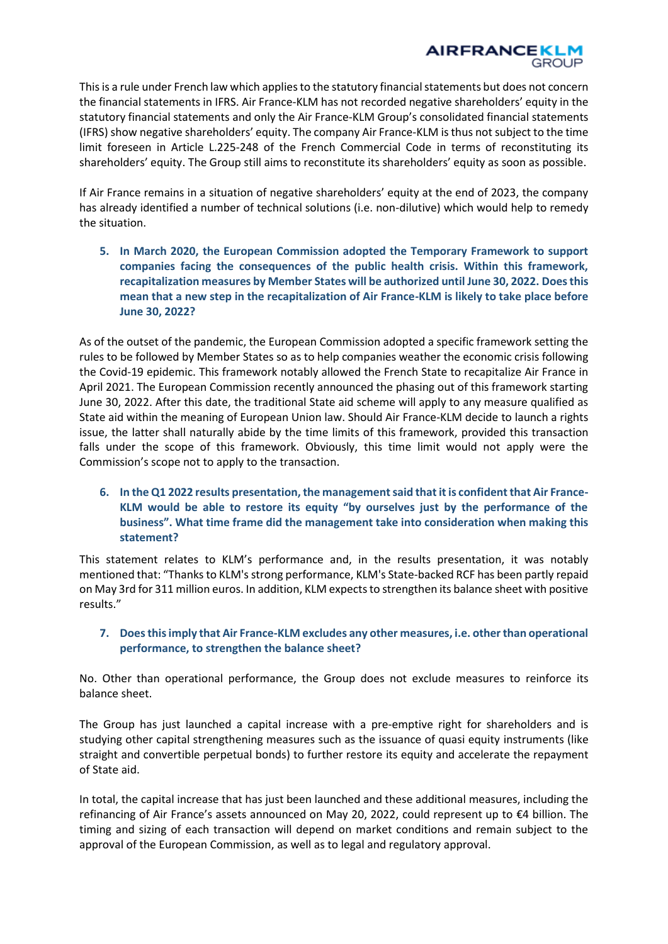

This is a rule under French law which applies to the statutory financial statements but does not concern the financial statements in IFRS. Air France-KLM has not recorded negative shareholders' equity in the statutory financial statements and only the Air France-KLM Group's consolidated financial statements (IFRS) show negative shareholders' equity. The company Air France-KLM is thus not subject to the time limit foreseen in Article L.225-248 of the French Commercial Code in terms of reconstituting its shareholders' equity. The Group still aims to reconstitute its shareholders' equity as soon as possible.

If Air France remains in a situation of negative shareholders' equity at the end of 2023, the company has already identified a number of technical solutions (i.e. non-dilutive) which would help to remedy the situation.

**5. In March 2020, the European Commission adopted the Temporary Framework to support companies facing the consequences of the public health crisis. Within this framework, recapitalization measures by Member States will be authorized until June 30, 2022. Does this mean that a new step in the recapitalization of Air France-KLM is likely to take place before June 30, 2022?**

As of the outset of the pandemic, the European Commission adopted a specific framework setting the rules to be followed by Member States so as to help companies weather the economic crisis following the Covid-19 epidemic. This framework notably allowed the French State to recapitalize Air France in April 2021. The European Commission recently announced the phasing out of this framework starting June 30, 2022. After this date, the traditional State aid scheme will apply to any measure qualified as State aid within the meaning of European Union law. Should Air France-KLM decide to launch a rights issue, the latter shall naturally abide by the time limits of this framework, provided this transaction falls under the scope of this framework. Obviously, this time limit would not apply were the Commission's scope not to apply to the transaction.

**6. In the Q1 2022 results presentation, the management said that it is confident that Air France-KLM would be able to restore its equity "by ourselves just by the performance of the business". What time frame did the management take into consideration when making this statement?** 

This statement relates to KLM's performance and, in the results presentation, it was notably mentioned that: "Thanks to KLM's strong performance, KLM's State-backed RCF has been partly repaid on May 3rd for 311 million euros. In addition, KLM expects to strengthen its balance sheet with positive results."

# **7. Doesthis imply that Air France-KLM excludes any other measures, i.e. other than operational performance, to strengthen the balance sheet?**

No. Other than operational performance, the Group does not exclude measures to reinforce its balance sheet.

The Group has just launched a capital increase with a pre-emptive right for shareholders and is studying other capital strengthening measures such as the issuance of quasi equity instruments (like straight and convertible perpetual bonds) to further restore its equity and accelerate the repayment of State aid.

In total, the capital increase that has just been launched and these additional measures, including the refinancing of Air France's assets announced on May 20, 2022, could represent up to €4 billion. The timing and sizing of each transaction will depend on market conditions and remain subject to the approval of the European Commission, as well as to legal and regulatory approval.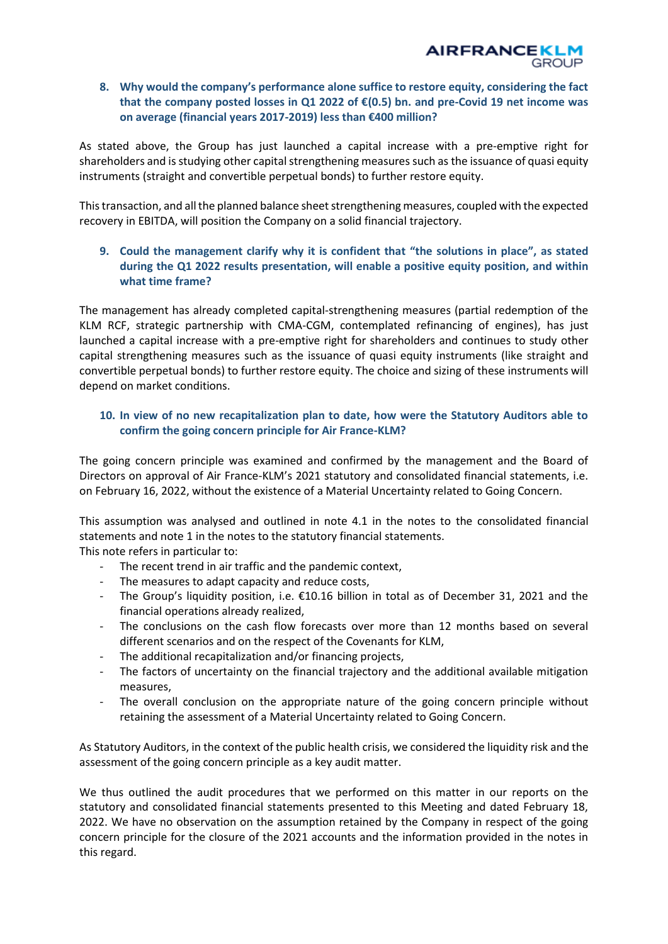## **8. Why would the company's performance alone suffice to restore equity, considering the fact that the company posted losses in Q1 2022 of €(0.5) bn. and pre-Covid 19 net income was on average (financial years 2017-2019) less than €400 million?**

As stated above, the Group has just launched a capital increase with a pre-emptive right for shareholders and isstudying other capital strengthening measures such as the issuance of quasi equity instruments (straight and convertible perpetual bonds) to further restore equity.

This transaction, and all the planned balance sheet strengthening measures, coupled with the expected recovery in EBITDA, will position the Company on a solid financial trajectory.

# **9. Could the management clarify why it is confident that "the solutions in place", as stated during the Q1 2022 results presentation, will enable a positive equity position, and within what time frame?**

The management has already completed capital-strengthening measures (partial redemption of the KLM RCF, strategic partnership with CMA-CGM, contemplated refinancing of engines), has just launched a capital increase with a pre-emptive right for shareholders and continues to study other capital strengthening measures such as the issuance of quasi equity instruments (like straight and convertible perpetual bonds) to further restore equity. The choice and sizing of these instruments will depend on market conditions.

# **10. In view of no new recapitalization plan to date, how were the Statutory Auditors able to confirm the going concern principle for Air France-KLM?**

The going concern principle was examined and confirmed by the management and the Board of Directors on approval of Air France-KLM's 2021 statutory and consolidated financial statements, i.e. on February 16, 2022, without the existence of a Material Uncertainty related to Going Concern.

This assumption was analysed and outlined in note 4.1 in the notes to the consolidated financial statements and note 1 in the notes to the statutory financial statements.

This note refers in particular to:

- The recent trend in air traffic and the pandemic context.
- The measures to adapt capacity and reduce costs,
- The Group's liquidity position, i.e.  $\epsilon$ 10.16 billion in total as of December 31, 2021 and the financial operations already realized,
- The conclusions on the cash flow forecasts over more than 12 months based on several different scenarios and on the respect of the Covenants for KLM,
- The additional recapitalization and/or financing projects,
- The factors of uncertainty on the financial trajectory and the additional available mitigation measures,
- The overall conclusion on the appropriate nature of the going concern principle without retaining the assessment of a Material Uncertainty related to Going Concern.

As Statutory Auditors, in the context of the public health crisis, we considered the liquidity risk and the assessment of the going concern principle as a key audit matter.

We thus outlined the audit procedures that we performed on this matter in our reports on the statutory and consolidated financial statements presented to this Meeting and dated February 18, 2022. We have no observation on the assumption retained by the Company in respect of the going concern principle for the closure of the 2021 accounts and the information provided in the notes in this regard.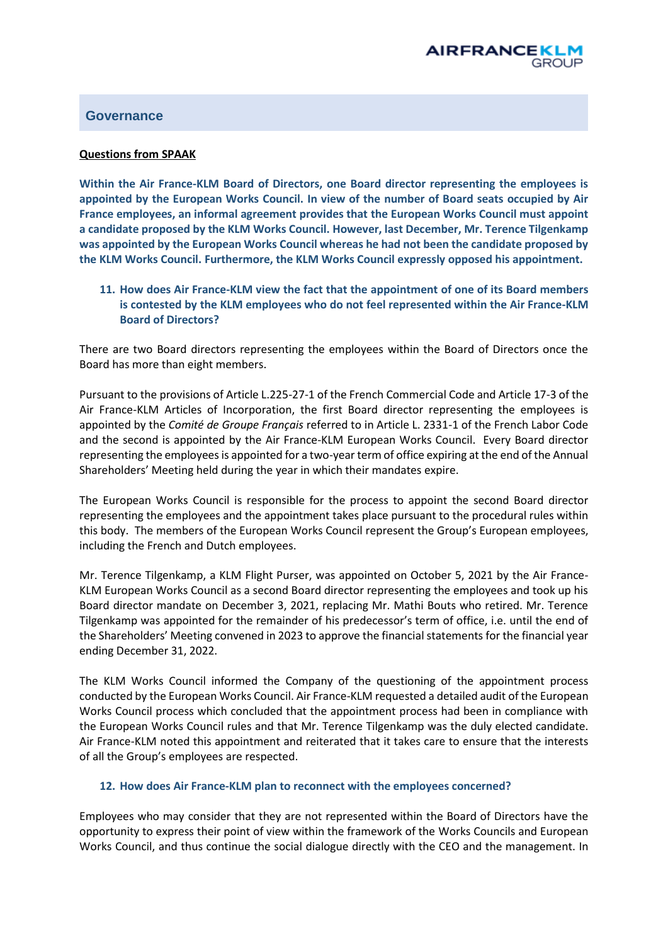# <span id="page-5-0"></span>**Governance**

#### **Questions from SPAAK**

**Within the Air France-KLM Board of Directors, one Board director representing the employees is appointed by the European Works Council. In view of the number of Board seats occupied by Air France employees, an informal agreement provides that the European Works Council must appoint a candidate proposed by the KLM Works Council. However, last December, Mr. Terence Tilgenkamp was appointed by the European Works Council whereas he had not been the candidate proposed by the KLM Works Council. Furthermore, the KLM Works Council expressly opposed his appointment.** 

**11. How does Air France-KLM view the fact that the appointment of one of its Board members is contested by the KLM employees who do not feel represented within the Air France-KLM Board of Directors?**

There are two Board directors representing the employees within the Board of Directors once the Board has more than eight members.

Pursuant to the provisions of Article L.225-27-1 of the French Commercial Code and Article 17-3 of the Air France-KLM Articles of Incorporation, the first Board director representing the employees is appointed by the *Comité de Groupe Français* referred to in Article L. 2331-1 of the French Labor Code and the second is appointed by the Air France-KLM European Works Council. Every Board director representing the employees is appointed for a two-year term of office expiring at the end of the Annual Shareholders' Meeting held during the year in which their mandates expire.

The European Works Council is responsible for the process to appoint the second Board director representing the employees and the appointment takes place pursuant to the procedural rules within this body. The members of the European Works Council represent the Group's European employees, including the French and Dutch employees.

Mr. Terence Tilgenkamp, a KLM Flight Purser, was appointed on October 5, 2021 by the Air France-KLM European Works Council as a second Board director representing the employees and took up his Board director mandate on December 3, 2021, replacing Mr. Mathi Bouts who retired. Mr. Terence Tilgenkamp was appointed for the remainder of his predecessor's term of office, i.e. until the end of the Shareholders' Meeting convened in 2023 to approve the financial statements for the financial year ending December 31, 2022.

The KLM Works Council informed the Company of the questioning of the appointment process conducted by the European Works Council. Air France-KLM requested a detailed audit of the European Works Council process which concluded that the appointment process had been in compliance with the European Works Council rules and that Mr. Terence Tilgenkamp was the duly elected candidate. Air France-KLM noted this appointment and reiterated that it takes care to ensure that the interests of all the Group's employees are respected.

#### **12. How does Air France-KLM plan to reconnect with the employees concerned?**

Employees who may consider that they are not represented within the Board of Directors have the opportunity to express their point of view within the framework of the Works Councils and European Works Council, and thus continue the social dialogue directly with the CEO and the management. In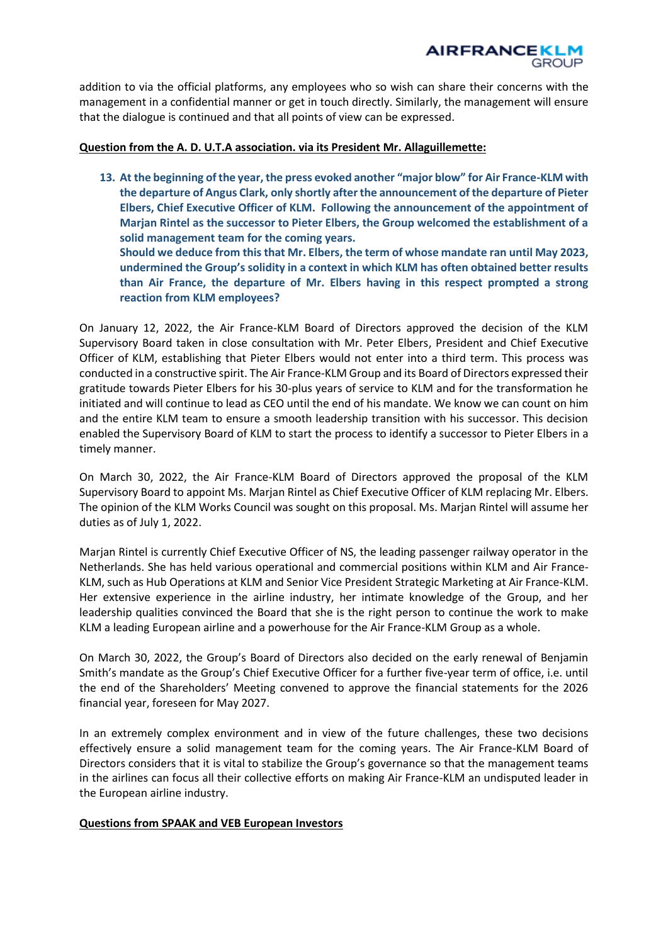addition to via the official platforms, any employees who so wish can share their concerns with the management in a confidential manner or get in touch directly. Similarly, the management will ensure that the dialogue is continued and that all points of view can be expressed.

#### **Question from the A. D. U.T.A association. via its President Mr. Allaguillemette:**

**13. At the beginning of the year, the press evoked another "major blow" for Air France-KLM with the departure of Angus Clark, only shortly after the announcement of the departure of Pieter Elbers, Chief Executive Officer of KLM. Following the announcement of the appointment of Marjan Rintel as the successor to Pieter Elbers, the Group welcomed the establishment of a solid management team for the coming years. Should we deduce from this that Mr. Elbers, the term of whose mandate ran until May 2023, undermined the Group's solidity in a context in which KLM has often obtained better results than Air France, the departure of Mr. Elbers having in this respect prompted a strong reaction from KLM employees?** 

On January 12, 2022, the Air France-KLM Board of Directors approved the decision of the KLM Supervisory Board taken in close consultation with Mr. Peter Elbers, President and Chief Executive Officer of KLM, establishing that Pieter Elbers would not enter into a third term. This process was conducted in a constructive spirit. The Air France-KLM Group and its Board of Directors expressed their gratitude towards Pieter Elbers for his 30-plus years of service to KLM and for the transformation he initiated and will continue to lead as CEO until the end of his mandate. We know we can count on him and the entire KLM team to ensure a smooth leadership transition with his successor. This decision enabled the Supervisory Board of KLM to start the process to identify a successor to Pieter Elbers in a timely manner.

On March 30, 2022, the Air France-KLM Board of Directors approved the proposal of the KLM Supervisory Board to appoint Ms. Marjan Rintel as Chief Executive Officer of KLM replacing Mr. Elbers. The opinion of the KLM Works Council was sought on this proposal. Ms. Marjan Rintel will assume her duties as of July 1, 2022.

Marjan Rintel is currently Chief Executive Officer of NS, the leading passenger railway operator in the Netherlands. She has held various operational and commercial positions within KLM and Air France-KLM, such as Hub Operations at KLM and Senior Vice President Strategic Marketing at Air France-KLM. Her extensive experience in the airline industry, her intimate knowledge of the Group, and her leadership qualities convinced the Board that she is the right person to continue the work to make KLM a leading European airline and a powerhouse for the Air France-KLM Group as a whole.

On March 30, 2022, the Group's Board of Directors also decided on the early renewal of Benjamin Smith's mandate as the Group's Chief Executive Officer for a further five-year term of office, i.e. until the end of the Shareholders' Meeting convened to approve the financial statements for the 2026 financial year, foreseen for May 2027.

In an extremely complex environment and in view of the future challenges, these two decisions effectively ensure a solid management team for the coming years. The Air France-KLM Board of Directors considers that it is vital to stabilize the Group's governance so that the management teams in the airlines can focus all their collective efforts on making Air France-KLM an undisputed leader in the European airline industry.

#### **Questions from SPAAK and VEB European Investors**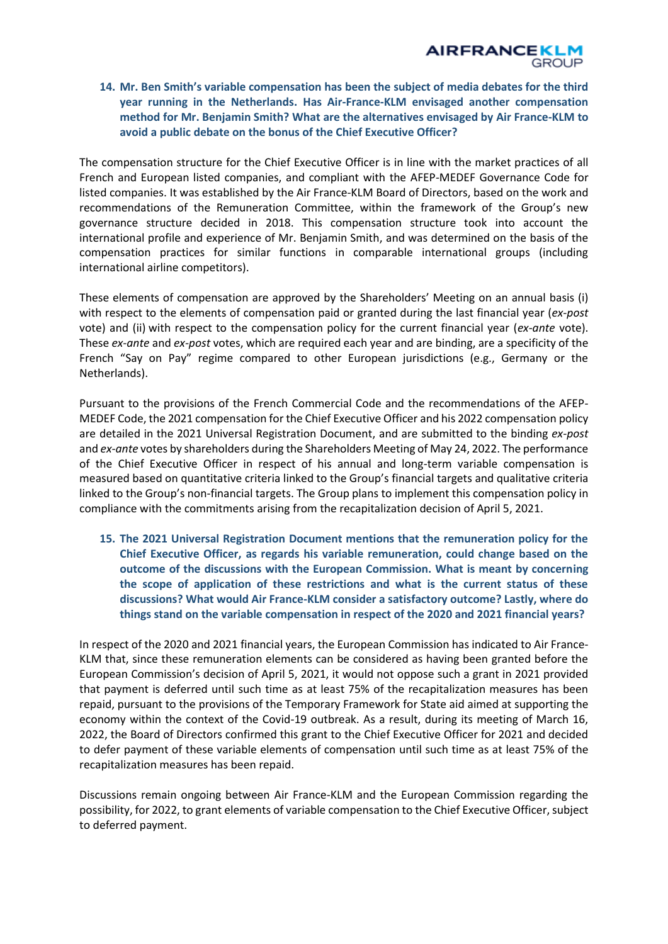**14. Mr. Ben Smith's variable compensation has been the subject of media debates for the third year running in the Netherlands. Has Air-France-KLM envisaged another compensation method for Mr. Benjamin Smith? What are the alternatives envisaged by Air France-KLM to avoid a public debate on the bonus of the Chief Executive Officer?**

The compensation structure for the Chief Executive Officer is in line with the market practices of all French and European listed companies, and compliant with the AFEP-MEDEF Governance Code for listed companies. It was established by the Air France-KLM Board of Directors, based on the work and recommendations of the Remuneration Committee, within the framework of the Group's new governance structure decided in 2018. This compensation structure took into account the international profile and experience of Mr. Benjamin Smith, and was determined on the basis of the compensation practices for similar functions in comparable international groups (including international airline competitors).

These elements of compensation are approved by the Shareholders' Meeting on an annual basis (i) with respect to the elements of compensation paid or granted during the last financial year (*ex-post* vote) and (ii) with respect to the compensation policy for the current financial year (*ex-ante* vote). These *ex-ante* and *ex-post* votes, which are required each year and are binding, are a specificity of the French "Say on Pay" regime compared to other European jurisdictions (e.g., Germany or the Netherlands).

Pursuant to the provisions of the French Commercial Code and the recommendations of the AFEP-MEDEF Code, the 2021 compensation for the Chief Executive Officer and his 2022 compensation policy are detailed in the 2021 Universal Registration Document, and are submitted to the binding *ex-post* and *ex-ante* votes by shareholders during the Shareholders Meeting of May 24, 2022. The performance of the Chief Executive Officer in respect of his annual and long-term variable compensation is measured based on quantitative criteria linked to the Group's financial targets and qualitative criteria linked to the Group's non-financial targets. The Group plans to implement this compensation policy in compliance with the commitments arising from the recapitalization decision of April 5, 2021.

**15. The 2021 Universal Registration Document mentions that the remuneration policy for the Chief Executive Officer, as regards his variable remuneration, could change based on the outcome of the discussions with the European Commission. What is meant by concerning the scope of application of these restrictions and what is the current status of these discussions? What would Air France-KLM consider a satisfactory outcome? Lastly, where do things stand on the variable compensation in respect of the 2020 and 2021 financial years?** 

In respect of the 2020 and 2021 financial years, the European Commission has indicated to Air France-KLM that, since these remuneration elements can be considered as having been granted before the European Commission's decision of April 5, 2021, it would not oppose such a grant in 2021 provided that payment is deferred until such time as at least 75% of the recapitalization measures has been repaid, pursuant to the provisions of the Temporary Framework for State aid aimed at supporting the economy within the context of the Covid-19 outbreak. As a result, during its meeting of March 16, 2022, the Board of Directors confirmed this grant to the Chief Executive Officer for 2021 and decided to defer payment of these variable elements of compensation until such time as at least 75% of the recapitalization measures has been repaid.

Discussions remain ongoing between Air France-KLM and the European Commission regarding the possibility, for 2022, to grant elements of variable compensation to the Chief Executive Officer, subject to deferred payment.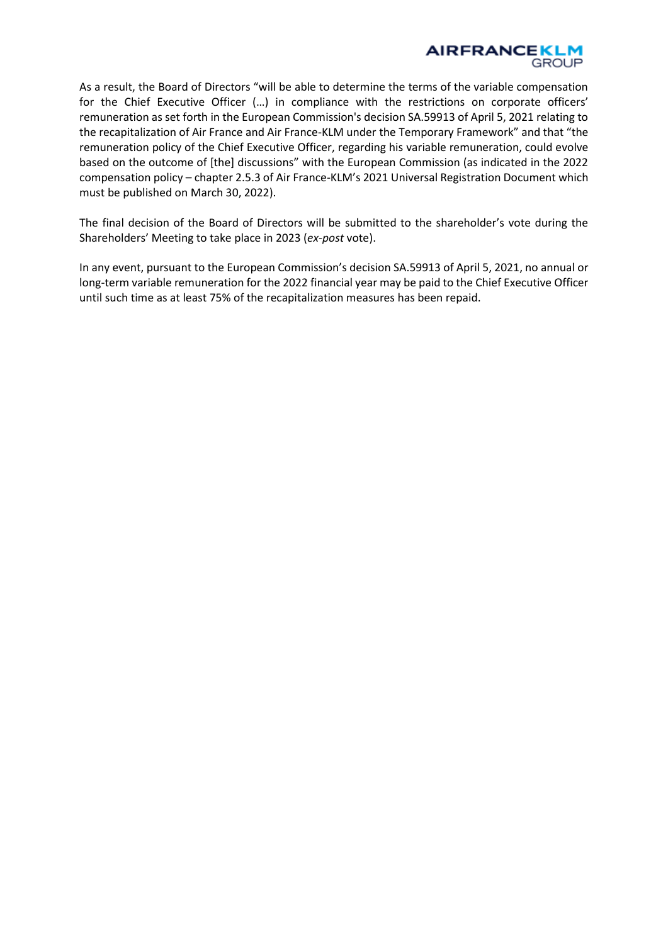

As a result, the Board of Directors "will be able to determine the terms of the variable compensation for the Chief Executive Officer (…) in compliance with the restrictions on corporate officers' remuneration as set forth in the European Commission's decision SA.59913 of April 5, 2021 relating to the recapitalization of Air France and Air France-KLM under the Temporary Framework" and that "the remuneration policy of the Chief Executive Officer, regarding his variable remuneration, could evolve based on the outcome of [the] discussions" with the European Commission (as indicated in the 2022 compensation policy – chapter 2.5.3 of Air France-KLM's 2021 Universal Registration Document which must be published on March 30, 2022).

The final decision of the Board of Directors will be submitted to the shareholder's vote during the Shareholders' Meeting to take place in 2023 (*ex-post* vote).

In any event, pursuant to the European Commission's decision SA.59913 of April 5, 2021, no annual or long-term variable remuneration for the 2022 financial year may be paid to the Chief Executive Officer until such time as at least 75% of the recapitalization measures has been repaid.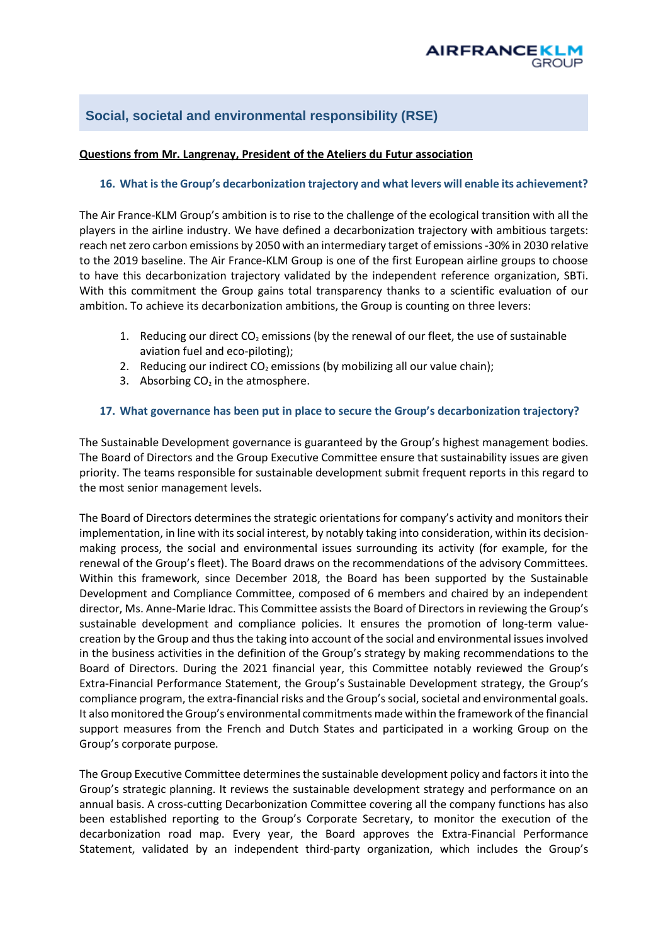# <span id="page-9-0"></span>**Social, societal and environmental responsibility (RSE)**

## **Questions from Mr. Langrenay, President of the Ateliers du Futur association**

## **16. What is the Group's decarbonization trajectory and what levers will enable its achievement?**

The Air France-KLM Group's ambition is to rise to the challenge of the ecological transition with all the players in the airline industry. We have defined a decarbonization trajectory with ambitious targets: reach net zero carbon emissions by 2050 with an intermediary target of emissions -30% in 2030 relative to the 2019 baseline. The Air France-KLM Group is one of the first European airline groups to choose to have this decarbonization trajectory validated by the independent reference organization, SBTi. With this commitment the Group gains total transparency thanks to a scientific evaluation of our ambition. To achieve its decarbonization ambitions, the Group is counting on three levers:

- 1. Reducing our direct  $CO<sub>2</sub>$  emissions (by the renewal of our fleet, the use of sustainable aviation fuel and eco-piloting);
- 2. Reducing our indirect  $CO<sub>2</sub>$  emissions (by mobilizing all our value chain);
- 3. Absorbing  $CO<sub>2</sub>$  in the atmosphere.

#### **17. What governance has been put in place to secure the Group's decarbonization trajectory?**

The Sustainable Development governance is guaranteed by the Group's highest management bodies. The Board of Directors and the Group Executive Committee ensure that sustainability issues are given priority. The teams responsible for sustainable development submit frequent reports in this regard to the most senior management levels.

The Board of Directors determines the strategic orientations for company's activity and monitors their implementation, in line with its social interest, by notably taking into consideration, within its decisionmaking process, the social and environmental issues surrounding its activity (for example, for the renewal of the Group's fleet). The Board draws on the recommendations of the advisory Committees. Within this framework, since December 2018, the Board has been supported by the Sustainable Development and Compliance Committee, composed of 6 members and chaired by an independent director, Ms. Anne-Marie Idrac. This Committee assists the Board of Directors in reviewing the Group's sustainable development and compliance policies. It ensures the promotion of long-term valuecreation by the Group and thus the taking into account of the social and environmental issues involved in the business activities in the definition of the Group's strategy by making recommendations to the Board of Directors. During the 2021 financial year, this Committee notably reviewed the Group's Extra-Financial Performance Statement, the Group's Sustainable Development strategy, the Group's compliance program, the extra-financial risks and the Group's social, societal and environmental goals. It also monitored the Group's environmental commitments made within the framework of the financial support measures from the French and Dutch States and participated in a working Group on the Group's corporate purpose.

The Group Executive Committee determines the sustainable development policy and factors it into the Group's strategic planning. It reviews the sustainable development strategy and performance on an annual basis. A cross-cutting Decarbonization Committee covering all the company functions has also been established reporting to the Group's Corporate Secretary, to monitor the execution of the decarbonization road map. Every year, the Board approves the Extra-Financial Performance Statement, validated by an independent third-party organization, which includes the Group's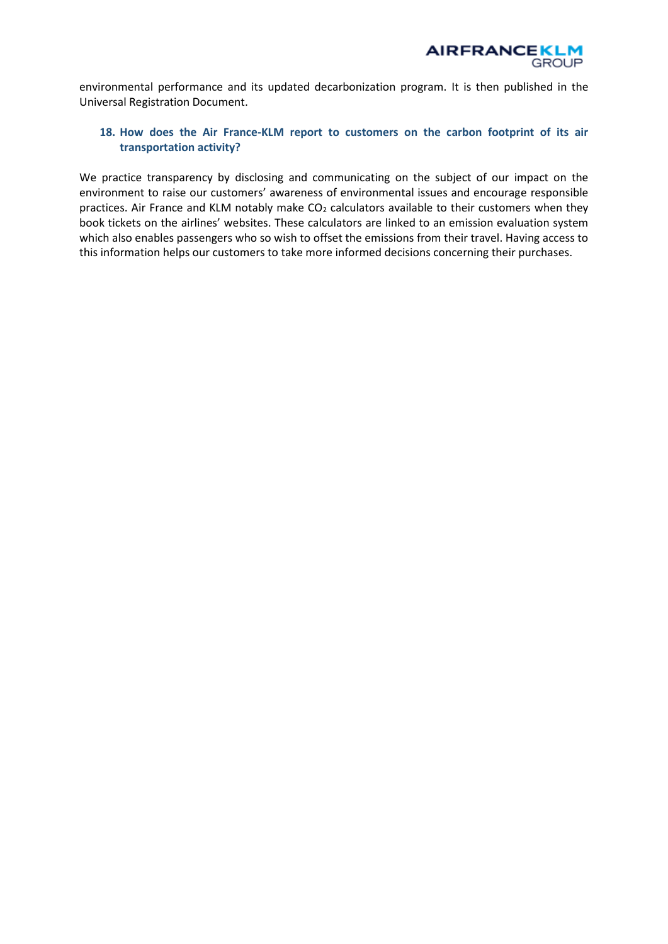

environmental performance and its updated decarbonization program. It is then published in the Universal Registration Document.

## **18. How does the Air France-KLM report to customers on the carbon footprint of its air transportation activity?**

We practice transparency by disclosing and communicating on the subject of our impact on the environment to raise our customers' awareness of environmental issues and encourage responsible practices. Air France and KLM notably make  $CO<sub>2</sub>$  calculators available to their customers when they book tickets on the airlines' websites. These calculators are linked to an emission evaluation system which also enables passengers who so wish to offset the emissions from their travel. Having access to this information helps our customers to take more informed decisions concerning their purchases.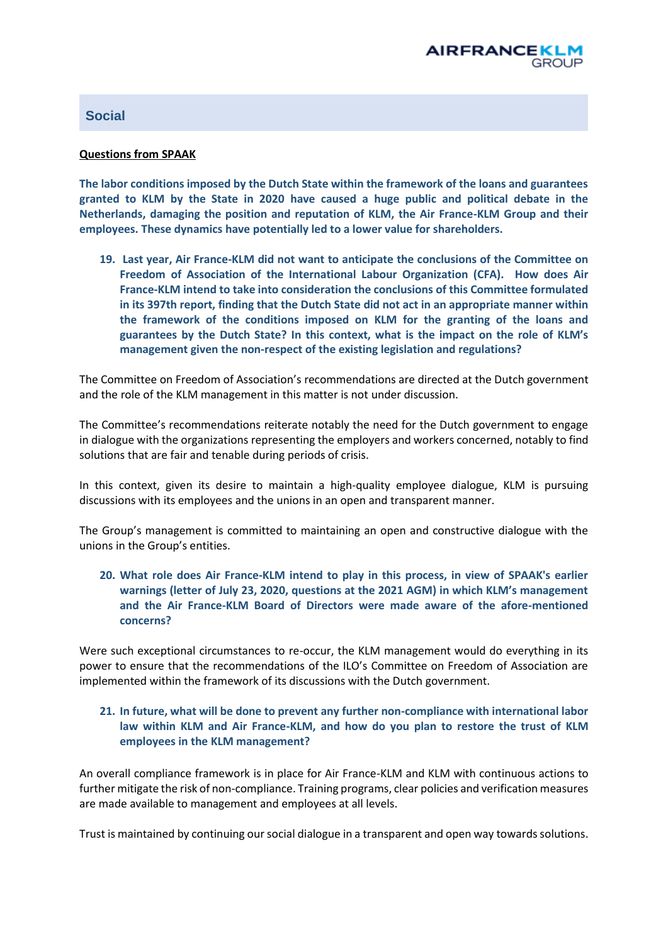## <span id="page-11-0"></span>**Social**

#### **Questions from SPAAK**

**The labor conditions imposed by the Dutch State within the framework of the loans and guarantees granted to KLM by the State in 2020 have caused a huge public and political debate in the Netherlands, damaging the position and reputation of KLM, the Air France-KLM Group and their employees. These dynamics have potentially led to a lower value for shareholders.** 

**19. Last year, Air France-KLM did not want to anticipate the conclusions of the Committee on Freedom of Association of the International Labour Organization (CFA). How does Air France-KLM intend to take into consideration the conclusions of this Committee formulated in its 397th report, finding that the Dutch State did not act in an appropriate manner within the framework of the conditions imposed on KLM for the granting of the loans and guarantees by the Dutch State? In this context, what is the impact on the role of KLM's management given the non-respect of the existing legislation and regulations?**

The Committee on Freedom of Association's recommendations are directed at the Dutch government and the role of the KLM management in this matter is not under discussion.

The Committee's recommendations reiterate notably the need for the Dutch government to engage in dialogue with the organizations representing the employers and workers concerned, notably to find solutions that are fair and tenable during periods of crisis.

In this context, given its desire to maintain a high-quality employee dialogue, KLM is pursuing discussions with its employees and the unions in an open and transparent manner.

The Group's management is committed to maintaining an open and constructive dialogue with the unions in the Group's entities.

**20. What role does Air France-KLM intend to play in this process, in view of SPAAK's earlier warnings (letter of July 23, 2020, questions at the 2021 AGM) in which KLM's management and the Air France-KLM Board of Directors were made aware of the afore-mentioned concerns?**

Were such exceptional circumstances to re-occur, the KLM management would do everything in its power to ensure that the recommendations of the ILO's Committee on Freedom of Association are implemented within the framework of its discussions with the Dutch government.

# **21. In future, what will be done to prevent any further non-compliance with international labor law within KLM and Air France-KLM, and how do you plan to restore the trust of KLM employees in the KLM management?**

An overall compliance framework is in place for Air France-KLM and KLM with continuous actions to further mitigate the risk of non-compliance. Training programs, clear policies and verification measures are made available to management and employees at all levels.

Trust is maintained by continuing our social dialogue in a transparent and open way towards solutions.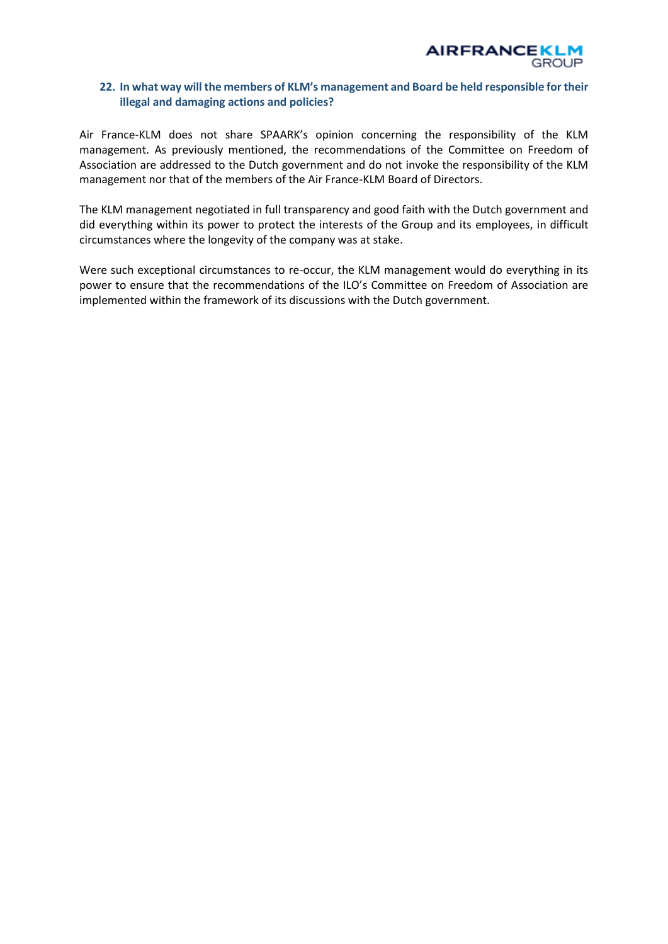

#### **22. In what way will the members of KLM's management and Board be held responsible for their illegal and damaging actions and policies?**

Air France-KLM does not share SPAARK's opinion concerning the responsibility of the KLM management. As previously mentioned, the recommendations of the Committee on Freedom of Association are addressed to the Dutch government and do not invoke the responsibility of the KLM management nor that of the members of the Air France-KLM Board of Directors.

The KLM management negotiated in full transparency and good faith with the Dutch government and did everything within its power to protect the interests of the Group and its employees, in difficult circumstances where the longevity of the company was at stake.

Were such exceptional circumstances to re-occur, the KLM management would do everything in its power to ensure that the recommendations of the ILO's Committee on Freedom of Association are implemented within the framework of its discussions with the Dutch government.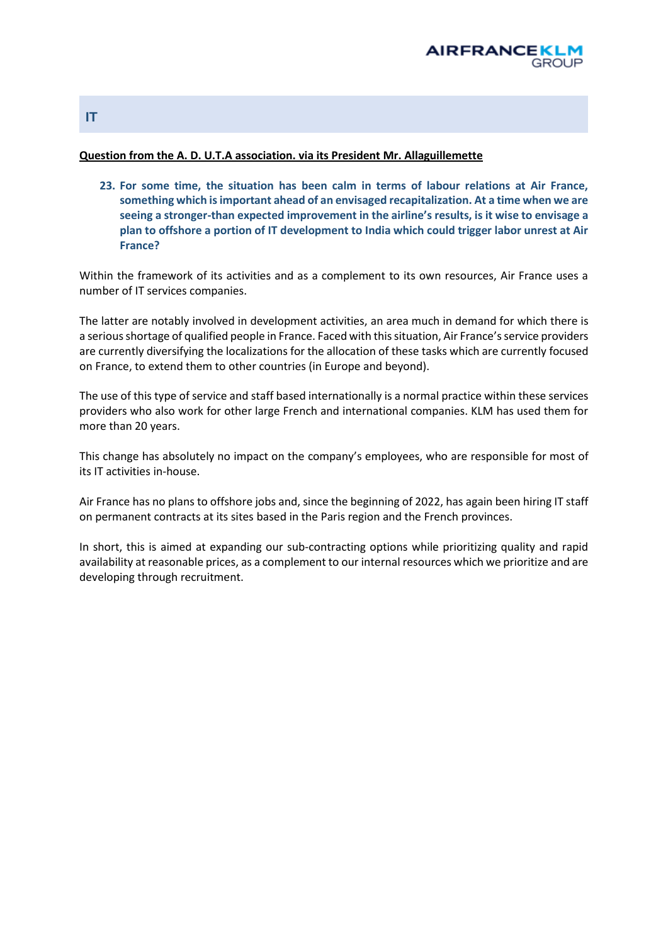

#### **Question from the A. D. U.T.A association. via its President Mr. Allaguillemette**

**23. For some time, the situation has been calm in terms of labour relations at Air France, something which is important ahead of an envisaged recapitalization. At a time when we are seeing a stronger-than expected improvement in the airline's results, is it wise to envisage a plan to offshore a portion of IT development to India which could trigger labor unrest at Air France?** 

Within the framework of its activities and as a complement to its own resources, Air France uses a number of IT services companies.

The latter are notably involved in development activities, an area much in demand for which there is a serious shortage of qualified people in France. Faced with this situation, Air France's service providers are currently diversifying the localizations for the allocation of these tasks which are currently focused on France, to extend them to other countries (in Europe and beyond).

The use of this type of service and staff based internationally is a normal practice within these services providers who also work for other large French and international companies. KLM has used them for more than 20 years.

This change has absolutely no impact on the company's employees, who are responsible for most of its IT activities in-house.

Air France has no plans to offshore jobs and, since the beginning of 2022, has again been hiring IT staff on permanent contracts at its sites based in the Paris region and the French provinces.

In short, this is aimed at expanding our sub-contracting options while prioritizing quality and rapid availability at reasonable prices, as a complement to our internal resources which we prioritize and are developing through recruitment.

## <span id="page-13-0"></span>**IT**